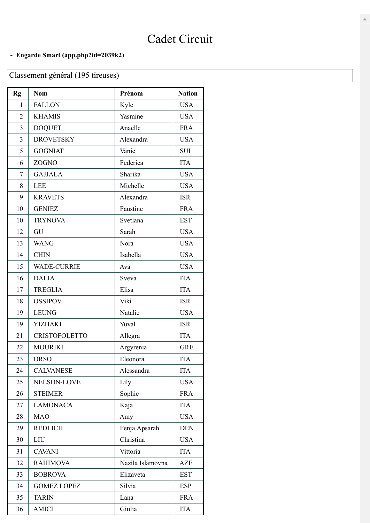## Cadet Circuit

## **- Engarde Smart [\(app.php?id=2039k2\)](https://engarde-service.com/app.php?id=2039k2)**

## Classement général (195 tireuses)

| Rg             | <b>Nom</b>           | Prénom           | <b>Nation</b> |
|----------------|----------------------|------------------|---------------|
| 1              | <b>FALLON</b>        | Kyle             | <b>USA</b>    |
| $\overline{2}$ | <b>KHAMIS</b>        | Yasmine          | <b>USA</b>    |
| 3              | <b>DOQUET</b>        | Anaelle          | <b>FRA</b>    |
| 3              | <b>DROVETSKY</b>     | Alexandra        | <b>USA</b>    |
| 5              | <b>GOGNIAT</b>       | Vanie            | <b>SUI</b>    |
| 6              | ZOGNO                | Federica         | <b>ITA</b>    |
| $\overline{7}$ | <b>GAJJALA</b>       | Sharika          | <b>USA</b>    |
| 8              | <b>LEE</b>           | Michelle         | <b>USA</b>    |
| 9              | <b>KRAVETS</b>       | Alexandra        | <b>ISR</b>    |
| 10             | <b>GENIEZ</b>        | Faustine         | <b>FRA</b>    |
| 10             | <b>TRYNOVA</b>       | Svetlana         | <b>EST</b>    |
| 12             | GU                   | Sarah            | <b>USA</b>    |
| 13             | <b>WANG</b>          | Nora             | <b>USA</b>    |
| 14             | <b>CHIN</b>          | Isabella         | <b>USA</b>    |
| 15             | <b>WADE-CURRIE</b>   | Ava              | <b>USA</b>    |
| 16             | <b>DALIA</b>         | Sveva            | <b>ITA</b>    |
| 17             | <b>TREGLIA</b>       | Elisa            | <b>ITA</b>    |
| 18             | <b>OSSIPOV</b>       | Viki             | <b>ISR</b>    |
| 19             | <b>LEUNG</b>         | Natalie          | <b>USA</b>    |
| 19             | <b>YIZHAKI</b>       | Yuval            | <b>ISR</b>    |
| 21             | <b>CRISTOFOLETTO</b> | Allegra          | <b>ITA</b>    |
| 22             | <b>MOURIKI</b>       | Argyrenia        | <b>GRE</b>    |
| 23             | <b>ORSO</b>          | Eleonora         | <b>ITA</b>    |
| 24             | <b>CALVANESE</b>     | Alessandra       | <b>ITA</b>    |
| 25             | NELSON-LOVE          | Lily             | <b>USA</b>    |
| 26             | <b>STEIMER</b>       | Sophie           | <b>FRA</b>    |
| 27             | <b>LAMONACA</b>      | Kaja             | <b>ITA</b>    |
| 28             | <b>MAO</b>           | Amy              | <b>USA</b>    |
| 29             | <b>REDLICH</b>       | Fenja Apsarah    | <b>DEN</b>    |
| 30             | LIU                  | Christina        | <b>USA</b>    |
| 31             | <b>CAVANI</b>        | Vittoria         | <b>ITA</b>    |
| 32             | <b>RAHIMOVA</b>      | Nazila Islamovna | <b>AZE</b>    |
| 33             | <b>BOBROVA</b>       | Elizaveta        | <b>EST</b>    |
| 34             | <b>GOMEZ LOPEZ</b>   | Silvia           | <b>ESP</b>    |
| 35             | <b>TARIN</b>         | Lana             | <b>FRA</b>    |
| 36             | <b>AMICI</b>         | Giulia           | <b>ITA</b>    |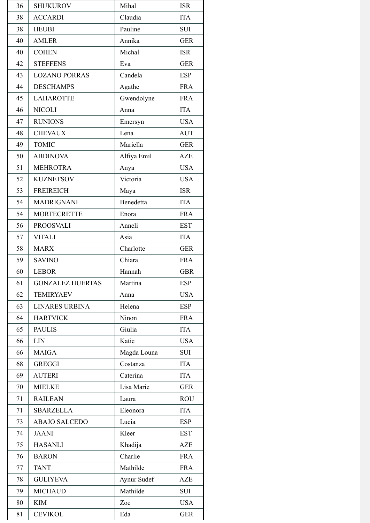| 36 | <b>SHUKUROV</b>         | Mihal       | <b>ISR</b> |
|----|-------------------------|-------------|------------|
| 38 | <b>ACCARDI</b>          | Claudia     | <b>ITA</b> |
| 38 | <b>HEUBI</b>            | Pauline     | <b>SUI</b> |
| 40 | <b>AMLER</b>            | Annika      | <b>GER</b> |
| 40 | <b>COHEN</b>            | Michal      | <b>ISR</b> |
| 42 | <b>STEFFENS</b>         | Eva         | <b>GER</b> |
| 43 | <b>LOZANO PORRAS</b>    | Candela     | <b>ESP</b> |
| 44 | <b>DESCHAMPS</b>        | Agathe      | <b>FRA</b> |
| 45 | <b>LAHAROTTE</b>        | Gwendolyne  | <b>FRA</b> |
| 46 | <b>NICOLI</b>           | Anna        | <b>ITA</b> |
| 47 | <b>RUNIONS</b>          | Emersyn     | <b>USA</b> |
| 48 | <b>CHEVAUX</b>          | Lena        | <b>AUT</b> |
| 49 | <b>TOMIC</b>            | Mariella    | <b>GER</b> |
| 50 | <b>ABDINOVA</b>         | Alfiya Emil | <b>AZE</b> |
| 51 | <b>MEHROTRA</b>         | Anya        | <b>USA</b> |
| 52 | <b>KUZNETSOV</b>        | Victoria    | <b>USA</b> |
| 53 | <b>FREIREICH</b>        | Maya        | <b>ISR</b> |
| 54 | <b>MADRIGNANI</b>       | Benedetta   | <b>ITA</b> |
| 54 | <b>MORTECRETTE</b>      | Enora       | <b>FRA</b> |
| 56 | <b>PROOSVALI</b>        | Anneli      | <b>EST</b> |
| 57 | <b>VITALI</b>           | Asia        | <b>ITA</b> |
| 58 | <b>MARX</b>             | Charlotte   | <b>GER</b> |
| 59 | <b>SAVINO</b>           | Chiara      | <b>FRA</b> |
| 60 | <b>LEBOR</b>            | Hannah      | <b>GBR</b> |
| 61 | <b>GONZALEZ HUERTAS</b> | Martina     | <b>ESP</b> |
| 62 | <b>TEMIRYAEV</b>        | Anna        | <b>USA</b> |
| 63 | <b>LINARES URBINA</b>   | Helena      | <b>ESP</b> |
| 64 | <b>HARTVICK</b>         | Ninon       | <b>FRA</b> |
| 65 | <b>PAULIS</b>           | Giulia      | <b>ITA</b> |
| 66 | <b>LIN</b>              | Katie       | <b>USA</b> |
| 66 | <b>MAIGA</b>            | Magda Louna | SUI        |
| 68 | <b>GREGGI</b>           | Costanza    | <b>ITA</b> |
| 69 | <b>AUTERI</b>           | Caterina    | <b>ITA</b> |
| 70 | <b>MIELKE</b>           | Lisa Marie  | <b>GER</b> |
| 71 | <b>RAILEAN</b>          | Laura       | <b>ROU</b> |
| 71 | <b>SBARZELLA</b>        | Eleonora    | <b>ITA</b> |
| 73 | <b>ABAJO SALCEDO</b>    | Lucia       | <b>ESP</b> |
| 74 | <b>JAANI</b>            | Kleer       | <b>EST</b> |
| 75 | <b>HASANLI</b>          | Khadija     | AZE        |
| 76 | <b>BARON</b>            | Charlie     | <b>FRA</b> |
| 77 | <b>TANT</b>             | Mathilde    | <b>FRA</b> |
| 78 | <b>GULIYEVA</b>         | Aynur Sudef | <b>AZE</b> |
| 79 | <b>MICHAUD</b>          | Mathilde    | <b>SUI</b> |
| 80 | <b>KIM</b>              | Zoe         | <b>USA</b> |
| 81 | <b>CEVIKOL</b>          | Eda         | <b>GER</b> |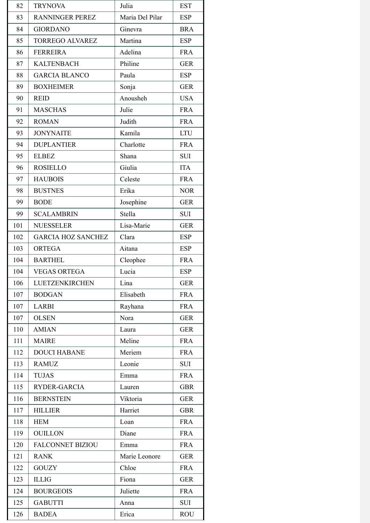| 82  | <b>TRYNOVA</b>            | Julia           | <b>EST</b> |
|-----|---------------------------|-----------------|------------|
| 83  | <b>RANNINGER PEREZ</b>    | Maria Del Pilar | <b>ESP</b> |
| 84  | <b>GIORDANO</b>           | Ginevra         | <b>BRA</b> |
| 85  | <b>TORREGO ALVAREZ</b>    | Martina         | <b>ESP</b> |
| 86  | <b>FERREIRA</b>           | Adelina         | <b>FRA</b> |
| 87  | <b>KALTENBACH</b>         | Philine         | <b>GER</b> |
| 88  | <b>GARCIA BLANCO</b>      | Paula           | <b>ESP</b> |
| 89  | <b>BOXHEIMER</b>          | Sonja           | <b>GER</b> |
| 90  | <b>REID</b>               | Anousheh        | <b>USA</b> |
| 91  | <b>MASCHAS</b>            | Julie           | <b>FRA</b> |
| 92  | <b>ROMAN</b>              | Judith          | <b>FRA</b> |
| 93  | <b>JONYNAITE</b>          | Kamila          | <b>LTU</b> |
| 94  | <b>DUPLANTIER</b>         | Charlotte       | <b>FRA</b> |
| 95  | <b>ELBEZ</b>              | Shana           | SUI        |
| 96  | <b>ROSIELLO</b>           | Giulia          | <b>ITA</b> |
| 97  | <b>HAUBOIS</b>            | Celeste         | <b>FRA</b> |
| 98  | <b>BUSTNES</b>            | Erika           | <b>NOR</b> |
| 99  | <b>BODE</b>               | Josephine       | <b>GER</b> |
| 99  | <b>SCALAMBRIN</b>         | Stella          | <b>SUI</b> |
| 101 | <b>NUESSELER</b>          | Lisa-Marie      | <b>GER</b> |
| 102 | <b>GARCIA HOZ SANCHEZ</b> | Clara           | <b>ESP</b> |
| 103 | <b>ORTEGA</b>             | Aitana          | <b>ESP</b> |
| 104 | <b>BARTHEL</b>            | Cleophee        | <b>FRA</b> |
| 104 | <b>VEGAS ORTEGA</b>       | Lucia           | <b>ESP</b> |
| 106 | LUETZENKIRCHEN            | Lina            | <b>GER</b> |
| 107 | <b>BODGAN</b>             | Elisabeth       | <b>FRA</b> |
| 107 | <b>LARBI</b>              | Rayhana         | <b>FRA</b> |
| 107 | <b>OLSEN</b>              | Nora            | <b>GER</b> |
| 110 | <b>AMIAN</b>              | Laura           | <b>GER</b> |
| 111 | <b>MAIRE</b>              | Meline          | <b>FRA</b> |
| 112 | <b>DOUCI HABANE</b>       | Meriem          | <b>FRA</b> |
| 113 | <b>RAMUZ</b>              | Leonie          | <b>SUI</b> |
| 114 | <b>TUJAS</b>              | Emma            | <b>FRA</b> |
| 115 | RYDER-GARCIA              | Lauren          | <b>GBR</b> |
| 116 | <b>BERNSTEIN</b>          | Viktoria        | <b>GER</b> |
| 117 | <b>HILLIER</b>            | Harriet         | <b>GBR</b> |
| 118 | <b>HEM</b>                | Loan            | <b>FRA</b> |
| 119 | <b>OUILLON</b>            | Diane           | <b>FRA</b> |
| 120 | <b>FALCONNET BIZIOU</b>   | Emma            | <b>FRA</b> |
| 121 | <b>RANK</b>               | Marie Leonore   | <b>GER</b> |
| 122 | <b>GOUZY</b>              | Chloe           | <b>FRA</b> |
| 123 | <b>ILLIG</b>              | Fiona           | <b>GER</b> |
| 124 | <b>BOURGEOIS</b>          | Juliette        | <b>FRA</b> |
| 125 | <b>GABUTTI</b>            | Anna            | SUI        |
| 126 | <b>BADEA</b>              | Erica           | <b>ROU</b> |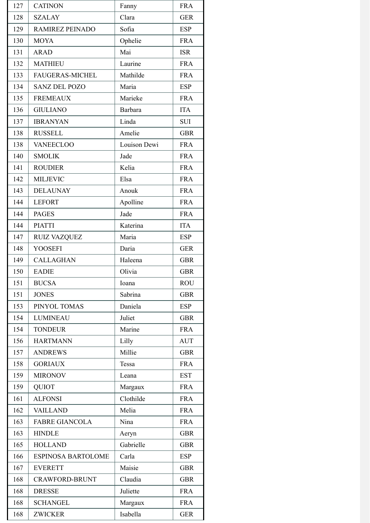| 127 | <b>CATINON</b>            | Fanny        | <b>FRA</b> |
|-----|---------------------------|--------------|------------|
| 128 | <b>SZALAY</b>             | Clara        | <b>GER</b> |
| 129 | RAMIREZ PEINADO           | Sofia        | <b>ESP</b> |
| 130 | <b>MOYA</b>               | Ophelie      | <b>FRA</b> |
| 131 | <b>ARAD</b>               | Mai          | <b>ISR</b> |
| 132 | <b>MATHIEU</b>            | Laurine      | <b>FRA</b> |
| 133 | <b>FAUGERAS-MICHEL</b>    | Mathilde     | <b>FRA</b> |
| 134 | <b>SANZ DEL POZO</b>      | Maria        | <b>ESP</b> |
| 135 | <b>FREMEAUX</b>           | Marieke      | <b>FRA</b> |
| 136 | <b>GIULIANO</b>           | Barbara      | <b>ITA</b> |
| 137 | <b>IBRANYAN</b>           | Linda        | <b>SUI</b> |
| 138 | <b>RUSSELL</b>            | Amelie       | <b>GBR</b> |
| 138 | <b>VANEECLOO</b>          | Louison Dewi | <b>FRA</b> |
| 140 | <b>SMOLIK</b>             | Jade         | <b>FRA</b> |
| 141 | <b>ROUDIER</b>            | Kelia        | <b>FRA</b> |
| 142 | <b>MILJEVIC</b>           | Elsa         | <b>FRA</b> |
| 143 | <b>DELAUNAY</b>           | Anouk        | <b>FRA</b> |
| 144 | <b>LEFORT</b>             | Apolline     | <b>FRA</b> |
| 144 | <b>PAGES</b>              | Jade         | <b>FRA</b> |
| 144 | <b>PIATTI</b>             | Katerina     | <b>ITA</b> |
| 147 | <b>RUIZ VAZQUEZ</b>       | Maria        | <b>ESP</b> |
| 148 | <b>YOOSEFI</b>            | Daria        | <b>GER</b> |
| 149 | <b>CALLAGHAN</b>          | Haleena      | <b>GBR</b> |
| 150 | <b>EADIE</b>              | Olivia       | <b>GBR</b> |
| 151 | <b>BUCSA</b>              | Ioana        | <b>ROU</b> |
| 151 | <b>JONES</b>              | Sabrina      | <b>GBR</b> |
| 153 | PINYOL TOMAS              | Daniela      | <b>ESP</b> |
| 154 | <b>LUMINEAU</b>           | Juliet       | <b>GBR</b> |
| 154 | <b>TONDEUR</b>            | Marine       | <b>FRA</b> |
| 156 | <b>HARTMANN</b>           | Lilly        | <b>AUT</b> |
| 157 | <b>ANDREWS</b>            | Millie       | <b>GBR</b> |
| 158 | <b>GORIAUX</b>            | Tessa        | <b>FRA</b> |
| 159 | <b>MIRONOV</b>            | Leana        | <b>EST</b> |
| 159 | <b>QUIOT</b>              | Margaux      | <b>FRA</b> |
| 161 | <b>ALFONSI</b>            | Clothilde    | <b>FRA</b> |
| 162 | <b>VAILLAND</b>           | Melia        | <b>FRA</b> |
| 163 | <b>FABRE GIANCOLA</b>     | Nina         | <b>FRA</b> |
| 163 | <b>HINDLE</b>             | Aeryn        | <b>GBR</b> |
| 165 | <b>HOLLAND</b>            | Gabrielle    | <b>GBR</b> |
| 166 | <b>ESPINOSA BARTOLOME</b> | Carla        | <b>ESP</b> |
| 167 | <b>EVERETT</b>            | Maisie       | <b>GBR</b> |
| 168 | <b>CRAWFORD-BRUNT</b>     | Claudia      | <b>GBR</b> |
| 168 | <b>DRESSE</b>             | Juliette     | <b>FRA</b> |
| 168 | <b>SCHANGEL</b>           | Margaux      | <b>FRA</b> |
| 168 | <b>ZWICKER</b>            | Isabella     | <b>GER</b> |